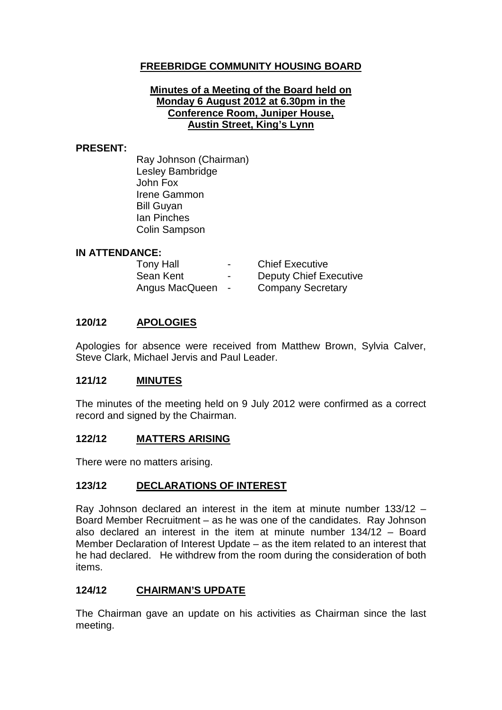## **FREEBRIDGE COMMUNITY HOUSING BOARD**

### **Minutes of a Meeting of the Board held on Monday 6 August 2012 at 6.30pm in the Conference Room, Juniper House, Austin Street, King's Lynn**

#### **PRESENT:**

Ray Johnson (Chairman) Lesley Bambridge John Fox Irene Gammon Bill Guyan Ian Pinches Colin Sampson

#### **IN ATTENDANCE:**

| <b>Tony Hall</b> | $\overline{\phantom{a}}$ | <b>Chief Executive</b>        |
|------------------|--------------------------|-------------------------------|
| Sean Kent        | $\overline{\phantom{0}}$ | <b>Deputy Chief Executive</b> |
| Angus MacQueen   | $\blacksquare$           | <b>Company Secretary</b>      |

### **120/12 APOLOGIES**

Apologies for absence were received from Matthew Brown, Sylvia Calver, Steve Clark, Michael Jervis and Paul Leader.

#### **121/12 MINUTES**

The minutes of the meeting held on 9 July 2012 were confirmed as a correct record and signed by the Chairman.

#### **122/12 MATTERS ARISING**

There were no matters arising.

#### **123/12 DECLARATIONS OF INTEREST**

Ray Johnson declared an interest in the item at minute number 133/12 – Board Member Recruitment – as he was one of the candidates. Ray Johnson also declared an interest in the item at minute number  $134/12 -$  Board Member Declaration of Interest Update – as the item related to an interest that he had declared. He withdrew from the room during the consideration of both items.

#### **124/12 CHAIRMAN'S UPDATE**

The Chairman gave an update on his activities as Chairman since the last meeting.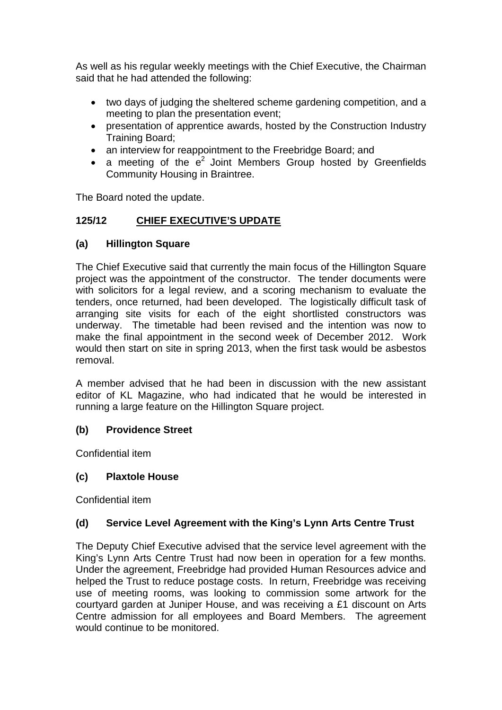As well as his regular weekly meetings with the Chief Executive, the Chairman said that he had attended the following:

- two days of judging the sheltered scheme gardening competition, and a meeting to plan the presentation event;
- presentation of apprentice awards, hosted by the Construction Industry Training Board;
- an interview for reappointment to the Freebridge Board; and
- a meeting of the  $e^2$  Joint Members Group hosted by Greenfields Community Housing in Braintree.

The Board noted the update.

# **125/12 CHIEF EXECUTIVE'S UPDATE**

## **(a) Hillington Square**

The Chief Executive said that currently the main focus of the Hillington Square project was the appointment of the constructor. The tender documents were with solicitors for a legal review, and a scoring mechanism to evaluate the tenders, once returned, had been developed. The logistically difficult task of arranging site visits for each of the eight shortlisted constructors was underway. The timetable had been revised and the intention was now to make the final appointment in the second week of December 2012. Work would then start on site in spring 2013, when the first task would be asbestos removal.

A member advised that he had been in discussion with the new assistant editor of KL Magazine, who had indicated that he would be interested in running a large feature on the Hillington Square project.

#### **(b) Providence Street**

Confidential item

## **(c) Plaxtole House**

Confidential item

## **(d) Service Level Agreement with the King's Lynn Arts Centre Trust**

The Deputy Chief Executive advised that the service level agreement with the King's Lynn Arts Centre Trust had now been in operation for a few months. Under the agreement, Freebridge had provided Human Resources advice and helped the Trust to reduce postage costs. In return, Freebridge was receiving use of meeting rooms, was looking to commission some artwork for the courtyard garden at Juniper House, and was receiving a £1 discount on Arts Centre admission for all employees and Board Members. The agreement would continue to be monitored.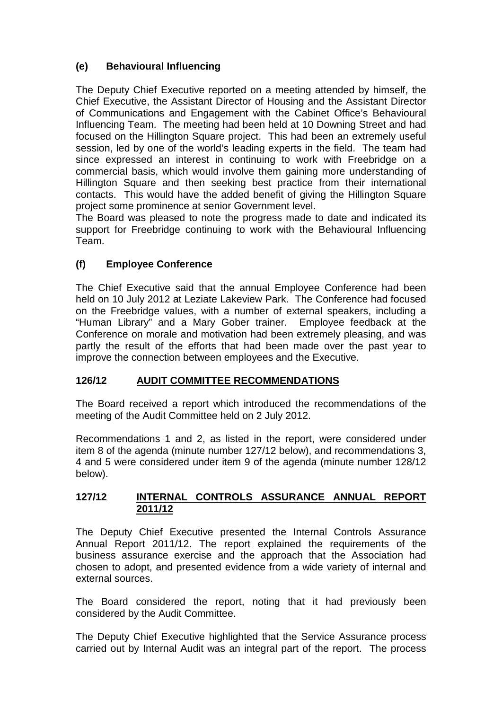# **(e) Behavioural Influencing**

The Deputy Chief Executive reported on a meeting attended by himself, the Chief Executive, the Assistant Director of Housing and the Assistant Director of Communications and Engagement with the Cabinet Office's Behavioural Influencing Team. The meeting had been held at 10 Downing Street and had focused on the Hillington Square project. This had been an extremely useful session, led by one of the world's leading experts in the field. The team had since expressed an interest in continuing to work with Freebridge on a commercial basis, which would involve them gaining more understanding of Hillington Square and then seeking best practice from their international contacts. This would have the added benefit of giving the Hillington Square project some prominence at senior Government level.

The Board was pleased to note the progress made to date and indicated its support for Freebridge continuing to work with the Behavioural Influencing Team.

# **(f) Employee Conference**

The Chief Executive said that the annual Employee Conference had been held on 10 July 2012 at Leziate Lakeview Park. The Conference had focused on the Freebridge values, with a number of external speakers, including a "Human Library" and a Mary Gober trainer. Employee feedback at the Conference on morale and motivation had been extremely pleasing, and was partly the result of the efforts that had been made over the past year to improve the connection between employees and the Executive.

## **126/12 AUDIT COMMITTEE RECOMMENDATIONS**

The Board received a report which introduced the recommendations of the meeting of the Audit Committee held on 2 July 2012.

Recommendations 1 and 2, as listed in the report, were considered under item 8 of the agenda (minute number 127/12 below), and recommendations 3, 4 and 5 were considered under item 9 of the agenda (minute number 128/12 below).

#### **127/12 INTERNAL CONTROLS ASSURANCE ANNUAL REPORT 2011/12**

The Deputy Chief Executive presented the Internal Controls Assurance Annual Report 2011/12. The report explained the requirements of the business assurance exercise and the approach that the Association had chosen to adopt, and presented evidence from a wide variety of internal and external sources.

The Board considered the report, noting that it had previously been considered by the Audit Committee.

The Deputy Chief Executive highlighted that the Service Assurance process carried out by Internal Audit was an integral part of the report. The process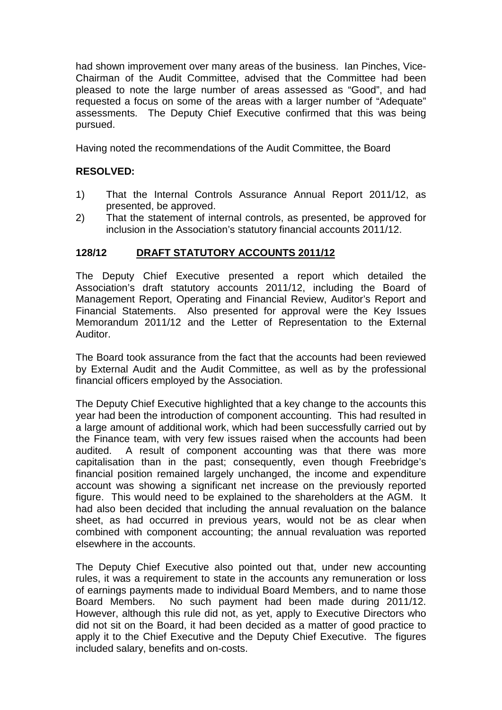had shown improvement over many areas of the business. Ian Pinches, Vice-Chairman of the Audit Committee, advised that the Committee had been pleased to note the large number of areas assessed as "Good", and had requested a focus on some of the areas with a larger number of "Adequate" assessments. The Deputy Chief Executive confirmed that this was being pursued.

Having noted the recommendations of the Audit Committee, the Board

## **RESOLVED:**

- 1) That the Internal Controls Assurance Annual Report 2011/12, as presented, be approved.
- 2) That the statement of internal controls, as presented, be approved for inclusion in the Association's statutory financial accounts 2011/12.

### **128/12 DRAFT STATUTORY ACCOUNTS 2011/12**

The Deputy Chief Executive presented a report which detailed the Association's draft statutory accounts 2011/12, including the Board of Management Report, Operating and Financial Review, Auditor's Report and Financial Statements. Also presented for approval were the Key Issues Memorandum 2011/12 and the Letter of Representation to the External Auditor.

The Board took assurance from the fact that the accounts had been reviewed by External Audit and the Audit Committee, as well as by the professional financial officers employed by the Association.

The Deputy Chief Executive highlighted that a key change to the accounts this year had been the introduction of component accounting. This had resulted in a large amount of additional work, which had been successfully carried out by the Finance team, with very few issues raised when the accounts had been audited. A result of component accounting was that there was more capitalisation than in the past; consequently, even though Freebridge's financial position remained largely unchanged, the income and expenditure account was showing a significant net increase on the previously reported figure. This would need to be explained to the shareholders at the AGM. It had also been decided that including the annual revaluation on the balance sheet, as had occurred in previous years, would not be as clear when combined with component accounting; the annual revaluation was reported elsewhere in the accounts.

The Deputy Chief Executive also pointed out that, under new accounting rules, it was a requirement to state in the accounts any remuneration or loss of earnings payments made to individual Board Members, and to name those<br>Board Members. No such payment had been made during 2011/12. No such payment had been made during 2011/12. However, although this rule did not, as yet, apply to Executive Directors who did not sit on the Board, it had been decided as a matter of good practice to apply it to the Chief Executive and the Deputy Chief Executive. The figures included salary, benefits and on-costs.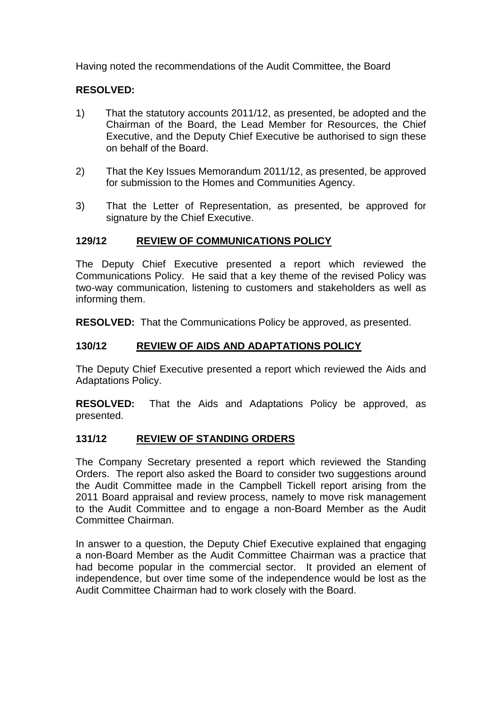Having noted the recommendations of the Audit Committee, the Board

### **RESOLVED:**

- 1) That the statutory accounts 2011/12, as presented, be adopted and the Chairman of the Board, the Lead Member for Resources, the Chief Executive, and the Deputy Chief Executive be authorised to sign these on behalf of the Board.
- 2) That the Key Issues Memorandum 2011/12, as presented, be approved for submission to the Homes and Communities Agency.
- 3) That the Letter of Representation, as presented, be approved for signature by the Chief Executive.

### **129/12 REVIEW OF COMMUNICATIONS POLICY**

The Deputy Chief Executive presented a report which reviewed the Communications Policy. He said that a key theme of the revised Policy was two-way communication, listening to customers and stakeholders as well as informing them.

**RESOLVED:** That the Communications Policy be approved, as presented.

### **130/12 REVIEW OF AIDS AND ADAPTATIONS POLICY**

The Deputy Chief Executive presented a report which reviewed the Aids and Adaptations Policy.

**RESOLVED:** That the Aids and Adaptations Policy be approved, as presented.

## **131/12 REVIEW OF STANDING ORDERS**

The Company Secretary presented a report which reviewed the Standing Orders. The report also asked the Board to consider two suggestions around the Audit Committee made in the Campbell Tickell report arising from the 2011 Board appraisal and review process, namely to move risk management to the Audit Committee and to engage a non-Board Member as the Audit Committee Chairman.

In answer to a question, the Deputy Chief Executive explained that engaging a non-Board Member as the Audit Committee Chairman was a practice that had become popular in the commercial sector. It provided an element of independence, but over time some of the independence would be lost as the Audit Committee Chairman had to work closely with the Board.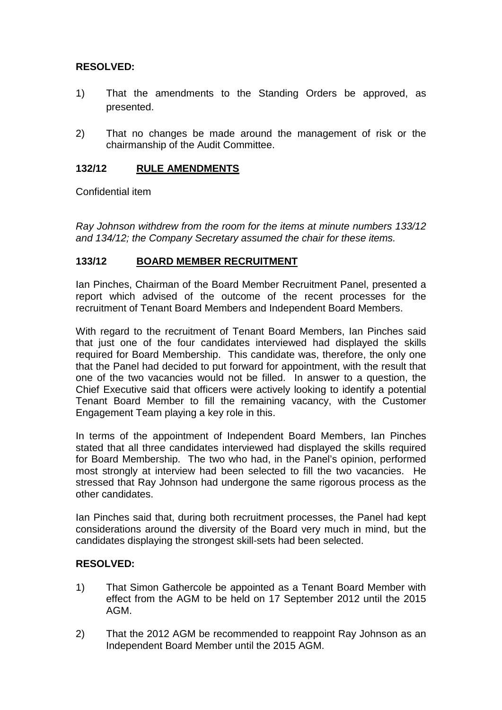## **RESOLVED:**

- 1) That the amendments to the Standing Orders be approved, as presented.
- 2) That no changes be made around the management of risk or the chairmanship of the Audit Committee.

### **132/12 RULE AMENDMENTS**

Confidential item

*Ray Johnson withdrew from the room for the items at minute numbers 133/12 and 134/12; the Company Secretary assumed the chair for these items.*

### **133/12 BOARD MEMBER RECRUITMENT**

Ian Pinches, Chairman of the Board Member Recruitment Panel, presented a report which advised of the outcome of the recent processes for the recruitment of Tenant Board Members and Independent Board Members.

With regard to the recruitment of Tenant Board Members, Ian Pinches said that just one of the four candidates interviewed had displayed the skills required for Board Membership. This candidate was, therefore, the only one that the Panel had decided to put forward for appointment, with the result that one of the two vacancies would not be filled. In answer to a question, the Chief Executive said that officers were actively looking to identify a potential Tenant Board Member to fill the remaining vacancy, with the Customer Engagement Team playing a key role in this.

In terms of the appointment of Independent Board Members, Ian Pinches stated that all three candidates interviewed had displayed the skills required for Board Membership. The two who had, in the Panel's opinion, performed most strongly at interview had been selected to fill the two vacancies. He stressed that Ray Johnson had undergone the same rigorous process as the other candidates.

Ian Pinches said that, during both recruitment processes, the Panel had kept considerations around the diversity of the Board very much in mind, but the candidates displaying the strongest skill-sets had been selected.

#### **RESOLVED:**

- 1) That Simon Gathercole be appointed as a Tenant Board Member with effect from the AGM to be held on 17 September 2012 until the 2015 AGM.
- 2) That the 2012 AGM be recommended to reappoint Ray Johnson as an Independent Board Member until the 2015 AGM.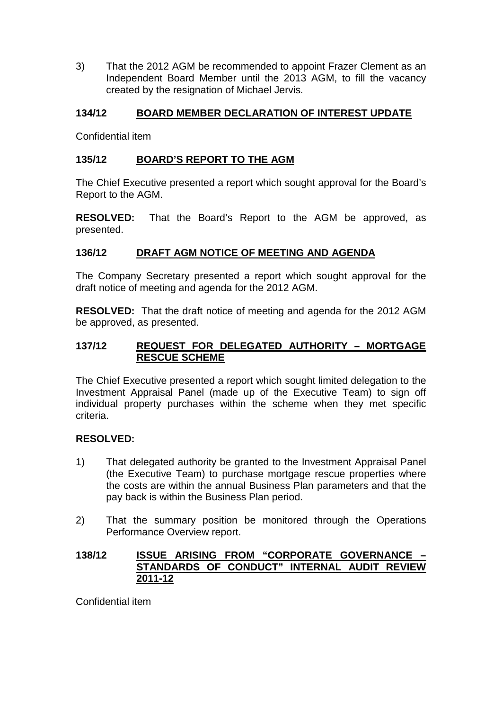3) That the 2012 AGM be recommended to appoint Frazer Clement as an Independent Board Member until the 2013 AGM, to fill the vacancy created by the resignation of Michael Jervis.

## **134/12 BOARD MEMBER DECLARATION OF INTEREST UPDATE**

Confidential item

#### **135/12 BOARD'S REPORT TO THE AGM**

The Chief Executive presented a report which sought approval for the Board's Report to the AGM.

**RESOLVED:** That the Board's Report to the AGM be approved, as presented.

#### **136/12 DRAFT AGM NOTICE OF MEETING AND AGENDA**

The Company Secretary presented a report which sought approval for the draft notice of meeting and agenda for the 2012 AGM.

**RESOLVED:** That the draft notice of meeting and agenda for the 2012 AGM be approved, as presented.

#### **137/12 REQUEST FOR DELEGATED AUTHORITY – MORTGAGE RESCUE SCHEME**

The Chief Executive presented a report which sought limited delegation to the Investment Appraisal Panel (made up of the Executive Team) to sign off individual property purchases within the scheme when they met specific criteria.

#### **RESOLVED:**

- 1) That delegated authority be granted to the Investment Appraisal Panel (the Executive Team) to purchase mortgage rescue properties where the costs are within the annual Business Plan parameters and that the pay back is within the Business Plan period.
- 2) That the summary position be monitored through the Operations Performance Overview report.

### **138/12 ISSUE ARISING FROM "CORPORATE GOVERNANCE – STANDARDS OF CONDUCT" INTERNAL AUDIT REVIEW 2011-12**

Confidential item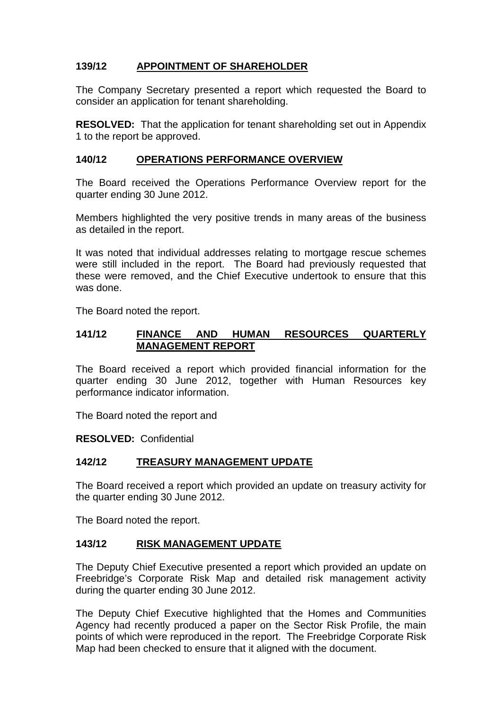## **139/12 APPOINTMENT OF SHAREHOLDER**

The Company Secretary presented a report which requested the Board to consider an application for tenant shareholding.

**RESOLVED:** That the application for tenant shareholding set out in Appendix 1 to the report be approved.

### **140/12 OPERATIONS PERFORMANCE OVERVIEW**

The Board received the Operations Performance Overview report for the quarter ending 30 June 2012.

Members highlighted the very positive trends in many areas of the business as detailed in the report.

It was noted that individual addresses relating to mortgage rescue schemes were still included in the report. The Board had previously requested that these were removed, and the Chief Executive undertook to ensure that this was done.

The Board noted the report.

### **141/12 FINANCE AND HUMAN RESOURCES QUARTERLY MANAGEMENT REPORT**

The Board received a report which provided financial information for the quarter ending 30 June 2012, together with Human Resources key performance indicator information.

The Board noted the report and

#### **RESOLVED:** Confidential

#### **142/12 TREASURY MANAGEMENT UPDATE**

The Board received a report which provided an update on treasury activity for the quarter ending 30 June 2012.

The Board noted the report.

#### **143/12 RISK MANAGEMENT UPDATE**

The Deputy Chief Executive presented a report which provided an update on Freebridge's Corporate Risk Map and detailed risk management activity during the quarter ending 30 June 2012.

The Deputy Chief Executive highlighted that the Homes and Communities Agency had recently produced a paper on the Sector Risk Profile, the main points of which were reproduced in the report. The Freebridge Corporate Risk Map had been checked to ensure that it aligned with the document.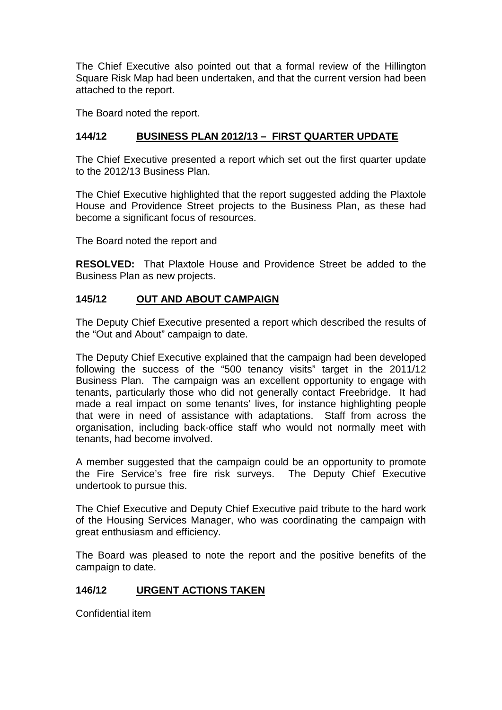The Chief Executive also pointed out that a formal review of the Hillington Square Risk Map had been undertaken, and that the current version had been attached to the report.

The Board noted the report.

## **144/12 BUSINESS PLAN 2012/13 – FIRST QUARTER UPDATE**

The Chief Executive presented a report which set out the first quarter update to the 2012/13 Business Plan.

The Chief Executive highlighted that the report suggested adding the Plaxtole House and Providence Street projects to the Business Plan, as these had become a significant focus of resources.

The Board noted the report and

**RESOLVED:** That Plaxtole House and Providence Street be added to the Business Plan as new projects.

## **145/12 OUT AND ABOUT CAMPAIGN**

The Deputy Chief Executive presented a report which described the results of the "Out and About" campaign to date.

The Deputy Chief Executive explained that the campaign had been developed following the success of the "500 tenancy visits" target in the 2011/12 Business Plan. The campaign was an excellent opportunity to engage with tenants, particularly those who did not generally contact Freebridge. It had made a real impact on some tenants' lives, for instance highlighting people that were in need of assistance with adaptations. Staff from across the organisation, including back-office staff who would not normally meet with tenants, had become involved.

A member suggested that the campaign could be an opportunity to promote the Fire Service's free fire risk surveys. The Deputy Chief Executive undertook to pursue this.

The Chief Executive and Deputy Chief Executive paid tribute to the hard work of the Housing Services Manager, who was coordinating the campaign with great enthusiasm and efficiency.

The Board was pleased to note the report and the positive benefits of the campaign to date.

## **146/12 URGENT ACTIONS TAKEN**

Confidential item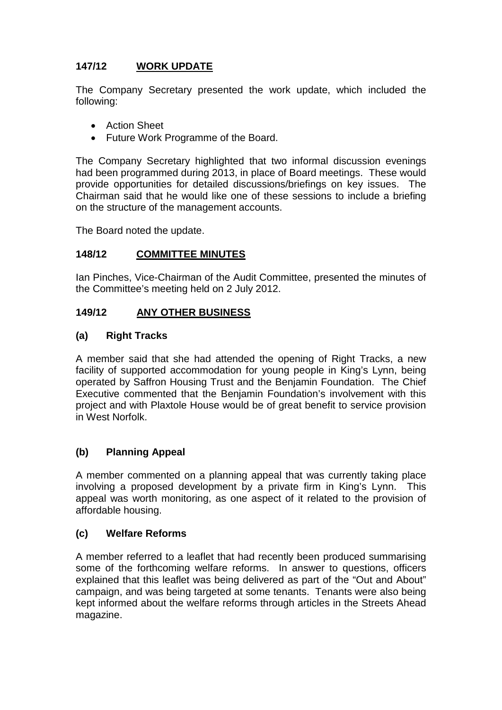# **147/12 WORK UPDATE**

The Company Secretary presented the work update, which included the following:

- Action Sheet
- Future Work Programme of the Board.

The Company Secretary highlighted that two informal discussion evenings had been programmed during 2013, in place of Board meetings. These would provide opportunities for detailed discussions/briefings on key issues. The Chairman said that he would like one of these sessions to include a briefing on the structure of the management accounts.

The Board noted the update.

## **148/12 COMMITTEE MINUTES**

Ian Pinches, Vice-Chairman of the Audit Committee, presented the minutes of the Committee's meeting held on 2 July 2012.

### **149/12 ANY OTHER BUSINESS**

### **(a) Right Tracks**

A member said that she had attended the opening of Right Tracks, a new facility of supported accommodation for young people in King's Lynn, being operated by Saffron Housing Trust and the Benjamin Foundation. The Chief Executive commented that the Benjamin Foundation's involvement with this project and with Plaxtole House would be of great benefit to service provision in West Norfolk.

## **(b) Planning Appeal**

A member commented on a planning appeal that was currently taking place involving a proposed development by a private firm in King's Lynn. This appeal was worth monitoring, as one aspect of it related to the provision of affordable housing.

#### **(c) Welfare Reforms**

A member referred to a leaflet that had recently been produced summarising some of the forthcoming welfare reforms. In answer to questions, officers explained that this leaflet was being delivered as part of the "Out and About" campaign, and was being targeted at some tenants. Tenants were also being kept informed about the welfare reforms through articles in the Streets Ahead magazine.